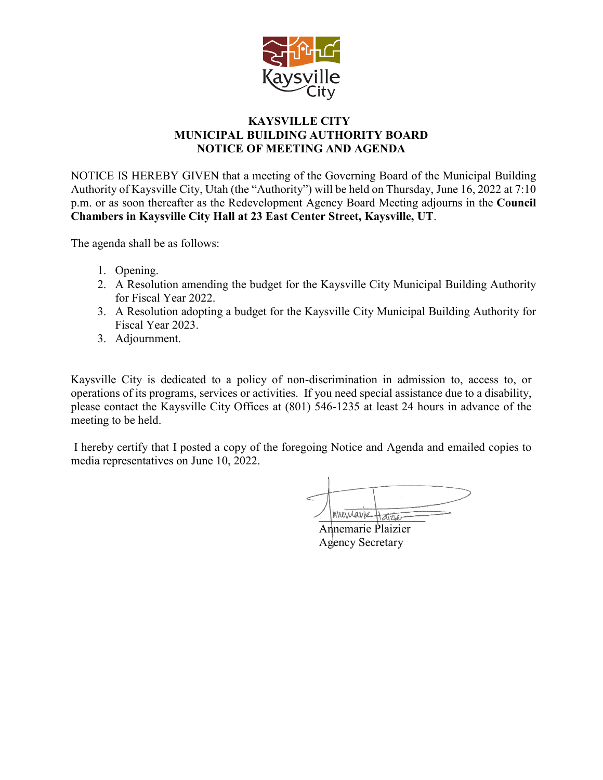

## **KAYSVILLE CITY MUNICIPAL BUILDING AUTHORITY BOARD NOTICE OF MEETING AND AGENDA**

NOTICE IS HEREBY GIVEN that a meeting of the Governing Board of the Municipal Building Authority of Kaysville City, Utah (the "Authority") will be held on Thursday, June 16, 2022 at 7:10 p.m. or as soon thereafter as the Redevelopment Agency Board Meeting adjourns in the **Council Chambers in Kaysville City Hall at 23 East Center Street, Kaysville, UT**.

The agenda shall be as follows:

- 1. Opening.
- 2. A Resolution amending the budget for the Kaysville City Municipal Building Authority for Fiscal Year 2022.
- 3. A Resolution adopting a budget for the Kaysville City Municipal Building Authority for Fiscal Year 2023.
- 3. Adjournment.

Kaysville City is dedicated to a policy of non-discrimination in admission to, access to, or operations of its programs, services or activities. If you need special assistance due to a disability, please contact the Kaysville City Offices at (801) 546-1235 at least 24 hours in advance of the meeting to be held.

I hereby certify that I posted a copy of the foregoing Notice and Agenda and emailed copies to media representatives on June 10, 2022.

Invertions Haras

Annemarie Plaizier Agency Secretary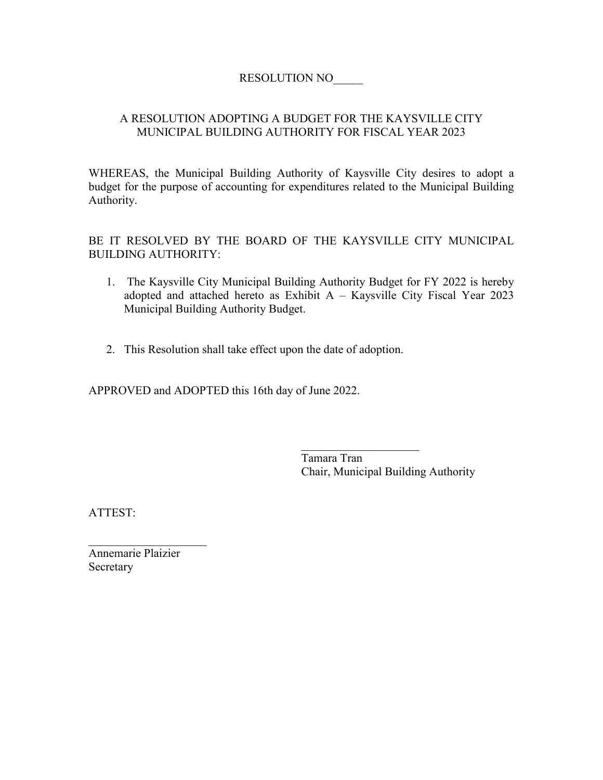## RESOLUTION NO\_\_\_\_\_

## A RESOLUTION ADOPTING A BUDGET FOR THE KAYSVILLE CITY MUNICIPAL BUILDING AUTHORITY FOR FISCAL YEAR 2023

WHEREAS, the Municipal Building Authority of Kaysville City desires to adopt a budget for the purpose of accounting for expenditures related to the Municipal Building Authority.

BE IT RESOLVED BY THE BOARD OF THE KAYSVILLE CITY MUNICIPAL BUILDING AUTHORITY:

- 1. The Kaysville City Municipal Building Authority Budget for FY 2022 is hereby adopted and attached hereto as Exhibit  $A - K$ aysville City Fiscal Year 2023 Municipal Building Authority Budget.
- 2. This Resolution shall take effect upon the date of adoption.

APPROVED and ADOPTED this 16th day of June 2022.

 $\overline{\phantom{a}}$  . The set of the set of the set of the set of the set of the set of the set of the set of the set of the set of the set of the set of the set of the set of the set of the set of the set of the set of the set o Tamara Tran Chair, Municipal Building Authority

ATTEST:

Annemarie Plaizier **Secretary** 

 $\overline{\phantom{a}}$  . The set of the set of the set of the set of the set of the set of the set of the set of the set of the set of the set of the set of the set of the set of the set of the set of the set of the set of the set o